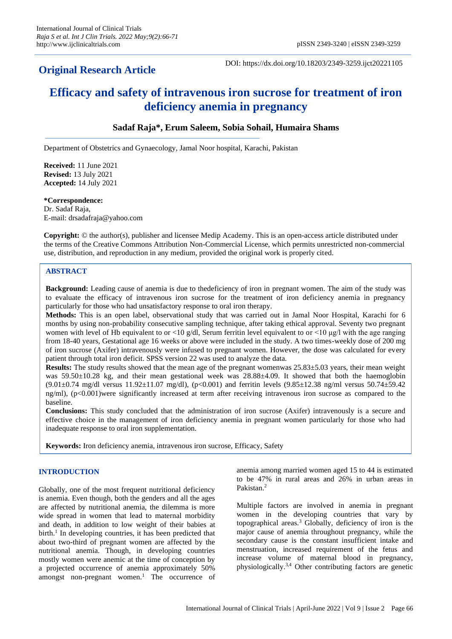# **Original Research Article**

DOI: https://dx.doi.org/10.18203/2349-3259.ijct20221105

# **Efficacy and safety of intravenous iron sucrose for treatment of iron deficiency anemia in pregnancy**

# **Sadaf Raja\*, Erum Saleem, Sobia Sohail, Humaira Shams**

Department of Obstetrics and Gynaecology, Jamal Noor hospital, Karachi, Pakistan

**Received:** 11 June 2021 **Revised:** 13 July 2021 **Accepted:** 14 July 2021

# **\*Correspondence:** Dr. Sadaf Raja,

E-mail: drsadafraja@yahoo.com

**Copyright:** © the author(s), publisher and licensee Medip Academy. This is an open-access article distributed under the terms of the Creative Commons Attribution Non-Commercial License, which permits unrestricted non-commercial use, distribution, and reproduction in any medium, provided the original work is properly cited.

## **ABSTRACT**

**Background:** Leading cause of anemia is due to thedeficiency of iron in pregnant women. The aim of the study was to evaluate the efficacy of intravenous iron sucrose for the treatment of iron deficiency anemia in pregnancy particularly for those who had unsatisfactory response to oral iron therapy.

**Methods:** This is an open label, observational study that was carried out in Jamal Noor Hospital, Karachi for 6 months by using non-probability consecutive sampling technique, after taking ethical approval. Seventy two pregnant women with level of Hb equivalent to or  $\langle 10 \text{ g/d} \rangle$ , Serum ferritin level equivalent to or  $\langle 10 \text{ µg}} \rangle$  with the age ranging from 18-40 years, Gestational age 16 weeks or above were included in the study. A two times-weekly dose of 200 mg of iron sucrose (Axifer) intravenously were infused to pregnant women. However, the dose was calculated for every patient through total iron deficit. SPSS version 22 was used to analyze the data.

**Results:** The study results showed that the mean age of the pregnant womenwas 25.83±5.03 years, their mean weight was 59.50±10.28 kg, and their mean gestational week was 28.88±4.09. It showed that both the haemoglobin  $(9.01\pm0.74 \text{ mg/dl}$  versus  $11.92\pm11.07 \text{ mg/dl}$ , (p<0.001) and ferritin levels  $(9.85\pm12.38 \text{ ng/ml}$  versus  $50.74\pm59.42$ ng/ml), (p<0.001)were significantly increased at term after receiving intravenous iron sucrose as compared to the baseline.

**Conclusions:** This study concluded that the administration of iron sucrose (Axifer) intravenously is a secure and effective choice in the management of iron deficiency anemia in pregnant women particularly for those who had inadequate response to oral iron supplementation.

**Keywords:** Iron deficiency anemia, intravenous iron sucrose, Efficacy, Safety

# **INTRODUCTION**

Globally, one of the most frequent nutritional deficiency is anemia. Even though, both the genders and all the ages are affected by nutritional anemia, the dilemma is more wide spread in women that lead to maternal morbidity and death, in addition to low weight of their babies at birth. 1 In developing countries, it has been predicted that about two-third of pregnant women are affected by the nutritional anemia. Though, in developing countries mostly women were anemic at the time of conception by a projected occurrence of anemia approximately 50% amongst non-pregnant women. $<sup>1</sup>$  The occurrence of</sup> anemia among married women aged 15 to 44 is estimated to be 47% in rural areas and 26% in urban areas in Pakistan.<sup>2</sup>

Multiple factors are involved in anemia in pregnant women in the developing countries that vary by topographical areas.<sup>3</sup> Globally, deficiency of iron is the major cause of anemia throughout pregnancy, while the secondary cause is the constant insufficient intake and menstruation, increased requirement of the fetus and increase volume of maternal blood in pregnancy, physiologically. 3,4 Other contributing factors are genetic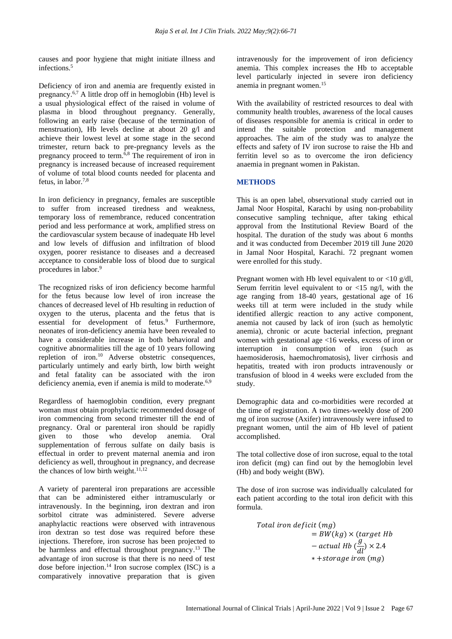causes and poor hygiene that might initiate illness and infections.<sup>5</sup>

Deficiency of iron and anemia are frequently existed in pregnancy.<sup>6,7</sup> A little drop off in hemoglobin (Hb) level is a usual physiological effect of the raised in volume of plasma in blood throughout pregnancy. Generally, following an early raise (because of the termination of menstruation), Hb levels decline at about 20 g/l and achieve their lowest level at some stage in the second trimester, return back to pre-pregnancy levels as the pregnancy proceed to term.6,8 The requirement of iron in pregnancy is increased because of increased requirement of volume of total blood counts needed for placenta and fetus, in labor. 7,8

In iron deficiency in pregnancy, females are susceptible to suffer from increased tiredness and weakness, temporary loss of remembrance, reduced concentration period and less performance at work, amplified stress on the cardiovascular system because of inadequate Hb level and low levels of diffusion and infiltration of blood oxygen, poorer resistance to diseases and a decreased acceptance to considerable loss of blood due to surgical procedures in labor.<sup>9</sup>

The recognized risks of iron deficiency become harmful for the fetus because low level of iron increase the chances of decreased level of Hb resulting in reduction of oxygen to the uterus, placenta and the fetus that is essential for development of fetus.<sup>9</sup> Furthermore, neonates of iron-deficiency anemia have been revealed to have a considerable increase in both behavioral and cognitive abnormalities till the age of 10 years following repletion of iron.<sup>10</sup> Adverse obstetric consequences, particularly untimely and early birth, low birth weight and fetal fatality can be associated with the iron deficiency anemia, even if anemia is mild to moderate.<sup>6,9</sup>

Regardless of haemoglobin condition, every pregnant woman must obtain prophylactic recommended dosage of iron commencing from second trimester till the end of pregnancy. Oral or parenteral iron should be rapidly given to those who develop anemia. Oral supplementation of ferrous sulfate on daily basis is effectual in order to prevent maternal anemia and iron deficiency as well, throughout in pregnancy, and decrease the chances of low birth weight. $11,12$ 

A variety of parenteral iron preparations are accessible that can be administered either intramuscularly or intravenously. In the beginning, iron dextran and iron sorbitol citrate was administered. Severe adverse anaphylactic reactions were observed with intravenous iron dextran so test dose was required before these injections. Therefore, iron sucrose has been projected to be harmless and effectual throughout pregnancy. <sup>13</sup> The advantage of iron sucrose is that there is no need of test dose before injection. <sup>14</sup> Iron sucrose complex (ISC) is a comparatively innovative preparation that is given intravenously for the improvement of iron deficiency anemia. This complex increases the Hb to acceptable level particularly injected in severe iron deficiency anemia in pregnant women.<sup>15</sup>

With the availability of restricted resources to deal with community health troubles, awareness of the local causes of diseases responsible for anemia is critical in order to intend the suitable protection and management approaches. The aim of the study was to analyze the effects and safety of IV iron sucrose to raise the Hb and ferritin level so as to overcome the iron deficiency anaemia in pregnant women in Pakistan.

# **METHODS**

This is an open label, observational study carried out in Jamal Noor Hospital, Karachi by using non-probability consecutive sampling technique, after taking ethical approval from the Institutional Review Board of the hospital. The duration of the study was about 6 months and it was conducted from December 2019 till June 2020 in Jamal Noor Hospital, Karachi. 72 pregnant women were enrolled for this study.

Pregnant women with Hb level equivalent to or  $\langle 10 \text{ g/d} \rangle$ . Serum ferritin level equivalent to or  $\langle 15 \text{ ng/l}, \text{ with the} \rangle$ age ranging from 18-40 years, gestational age of 16 weeks till at term were included in the study while identified allergic reaction to any active component, anemia not caused by lack of iron (such as hemolytic anemia), chronic or acute bacterial infection, pregnant women with gestational age <16 weeks, excess of iron or interruption in consumption of iron (such as haemosiderosis, haemochromatosis), liver cirrhosis and hepatitis, treated with iron products intravenously or transfusion of blood in 4 weeks were excluded from the study.

Demographic data and co-morbidities were recorded at the time of registration. A two times-weekly dose of 200 mg of iron sucrose (Axifer) intravenously were infused to pregnant women, until the aim of Hb level of patient accomplished.

The total collective dose of iron sucrose, equal to the total iron deficit (mg) can find out by the hemoglobin level (Hb) and body weight (BW).

The dose of iron sucrose was individually calculated for each patient according to the total iron deficit with this formula.

Total iron deficit (mg)  
= BW (kg) × (target Hb  
- actual Hb 
$$
\left(\frac{g}{dl}\right)
$$
 × 2.4  
\* +storage iron (mg)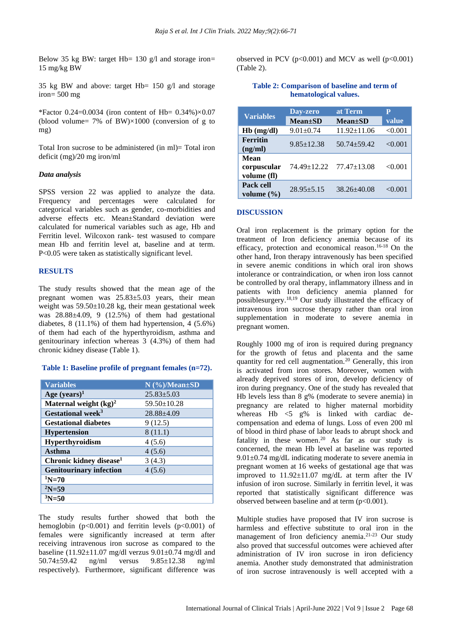Below 35 kg BW: target Hb=  $130 \text{ g/l}$  and storage iron= 15 mg/kg BW

35 kg BW and above: target Hb= 150 g/l and storage iron= 500 mg

\*Factor 0.24=0.0034 (iron content of Hb=  $0.34\%$ )×0.07 (blood volume=  $7\%$  of BW $\times$ 1000 (conversion of g to mg)

Total Iron sucrose to be administered (in ml)= Total iron deficit (mg)/20 mg iron/ml

#### *Data analysis*

SPSS version 22 was applied to analyze the data. Frequency and percentages were calculated for categorical variables such as gender, co-morbidities and adverse effects etc. Mean±Standard deviation were calculated for numerical variables such as age, Hb and Ferritin level. Wilcoxon rank- test wasused to compare mean Hb and ferritin level at, baseline and at term. P<0.05 were taken as statistically significant level.

#### **RESULTS**

The study results showed that the mean age of the pregnant women was 25.83±5.03 years, their mean weight was  $59.50 \pm 10.28$  kg, their mean gestational week was  $28.88\pm4.09$ , 9 (12.5%) of them had gestational diabetes,  $8(11.1\%)$  of them had hypertension,  $4(5.6\%)$ of them had each of the hyperthyroidism, asthma and genitourinary infection whereas 3 (4.3%) of them had chronic kidney disease (Table 1).

#### **Table 1: Baseline profile of pregnant females (n=72).**

| <b>Variables</b>                    | $N$ (%)/Mean $\pm$ SD |
|-------------------------------------|-----------------------|
| Age $(years)^1$                     | $25.83 \pm 5.03$      |
| Maternal weight $(kg)^2$            | $59.50 \pm 10.28$     |
| Gestational week <sup>3</sup>       | $28.88 + 4.09$        |
| <b>Gestational diabetes</b>         | 9(12.5)               |
| <b>Hypertension</b>                 | 8(11.1)               |
| Hyperthyroidism                     | 4(5.6)                |
| Asthma                              | 4(5.6)                |
| Chronic kidney disease <sup>1</sup> | 3(4.3)                |
| <b>Genitourinary infection</b>      | 4(5.6)                |
| $\mathrm{^{1}N}$ =70                |                       |
| $2N = 59$                           |                       |
| $3N = 50$                           |                       |

The study results further showed that both the hemoglobin ( $p<0.001$ ) and ferritin levels ( $p<0.001$ ) of females were significantly increased at term after receiving intravenous iron sucrose as compared to the baseline (11.92 $\pm$ 11.07 mg/dl verzus 9.01 $\pm$ 0.74 mg/dl and 50.74±59.42 ng/ml versus 9.85±12.38 ng/ml respectively). Furthermore, significant difference was observed in PCV ( $p<0.001$ ) and MCV as well ( $p<0.001$ ) (Table 2).

#### **Table 2: Comparison of baseline and term of hematological values.**

| <b>Variables</b>                          | Day-zero<br>$Mean \pm SD$ | at Term<br>$Mean \pm SD$ | P<br>value |
|-------------------------------------------|---------------------------|--------------------------|------------|
| $Hb$ (mg/dl)                              | $9.01 + 0.74$             | $11.92 \pm 11.06$        | < 0.001    |
| <b>Ferritin</b><br>(ng/ml)                | $9.85 \pm 12.38$          | $50.74 + 59.42$          | < 0.001    |
| <b>Mean</b><br>corpuscular<br>volume (fl) | 74.49 + 12.22             | $77.47 \pm 13.08$        | < 0.001    |
| Pack cell<br>volume $(\% )$               | $28.95 + 5.15$            | $38.26 + 40.08$          | < 0.001    |

#### **DISCUSSION**

Oral iron replacement is the primary option for the treatment of Iron deficiency anemia because of its efficacy, protection and economical reason. 16-18 On the other hand, Iron therapy intravenously has been specified in severe anemic conditions in which oral iron shows intolerance or contraindication, or when iron loss cannot be controlled by oral therapy, inflammatory illness and in patients with Iron deficiency anemia planned for possiblesurgery.18,19 Our study illustrated the efficacy of intravenous iron sucrose therapy rather than oral iron supplementation in moderate to severe anemia in pregnant women.

Roughly 1000 mg of iron is required during pregnancy for the growth of fetus and placenta and the same quantity for red cell augmentation.<sup>20</sup> Generally, this iron is activated from iron stores. Moreover, women with already deprived stores of iron, develop deficiency of iron during pregnancy. One of the study has revealed that Hb levels less than 8 g% (moderate to severe anemia) in pregnancy are related to higher maternal morbidity whereas Hb <5 g% is linked with cardiac decompensation and edema of lungs. Loss of even 200 ml of blood in third phase of labor leads to abrupt shock and fatality in these women. <sup>20</sup> As far as our study is concerned, the mean Hb level at baseline was reported  $9.01\pm0.74$  mg/dL indicating moderate to severe anemia in pregnant women at 16 weeks of gestational age that was improved to  $11.92 \pm 11.07$  mg/dL at term after the IV infusion of iron sucrose. Similarly in ferritin level, it was reported that statistically significant difference was observed between baseline and at term  $(p<0.001)$ .

Multiple studies have proposed that IV iron sucrose is harmless and effective substitute to oral iron in the management of Iron deficiency anemia. 21-23 Our study also proved that successful outcomes were achieved after administration of IV iron sucrose in iron deficiency anemia. Another study demonstrated that administration of iron sucrose intravenously is well accepted with a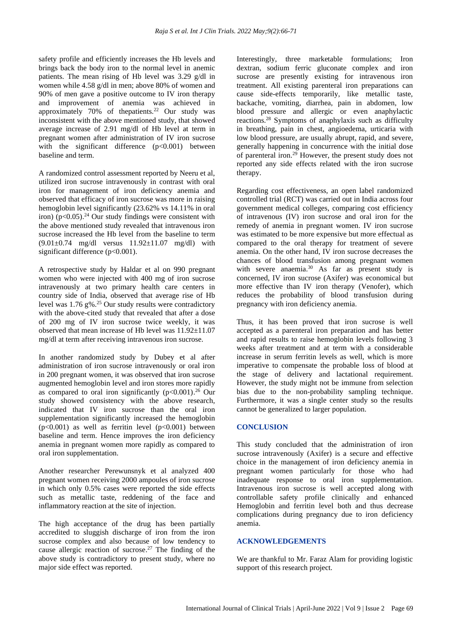safety profile and efficiently increases the Hb levels and brings back the body iron to the normal level in anemic patients. The mean rising of Hb level was 3.29 g/dl in women while 4.58 g/dl in men; above 80% of women and 90% of men gave a positive outcome to IV iron therapy and improvement of anemia was achieved in approximately 70% of thepatients.<sup>22</sup> Our study was inconsistent with the above mentioned study, that showed average increase of 2.91 mg/dl of Hb level at term in pregnant women after administration of IV iron sucrose with the significant difference  $(p<0.001)$  between baseline and term.

A randomized control assessment reported by Neeru et al, utilized iron sucrose intravenously in contrast with oral iron for management of iron deficiency anemia and observed that efficacy of iron sucrose was more in raising hemoglobin level significantly (23.62% vs 14.11% in oral iron)  $(p<0.05)$ .<sup>24</sup> Our study findings were consistent with the above mentioned study revealed that intravenous iron sucrose increased the Hb level from the baseline to term  $(9.01 \pm 0.74 \text{ mg/dl} \text{ versus } 11.92 \pm 11.07 \text{ mg/dl} \text{ with }$ significant difference (p<0.001).

A retrospective study by Haldar et al on 990 pregnant women who were injected with 400 mg of iron sucrose intravenously at two primary health care centers in country side of India, observed that average rise of Hb level was 1.76 g%.<sup>25</sup> Our study results were contradictory with the above-cited study that revealed that after a dose of 200 mg of IV iron sucrose twice weekly, it was observed that mean increase of Hb level was 11.92±11.07 mg/dl at term after receiving intravenous iron sucrose.

In another randomized study by Dubey et al after administration of iron sucrose intravenously or oral iron in 200 pregnant women, it was observed that iron sucrose augmented hemoglobin level and iron stores more rapidly as compared to oral iron significantly  $(p<0.001)$ .<sup>26</sup> Our study showed consistency with the above research, indicated that IV iron sucrose than the oral iron supplementation significantly increased the hemoglobin  $(p<0.001)$  as well as ferritin level  $(p<0.001)$  between baseline and term. Hence improves the iron deficiency anemia in pregnant women more rapidly as compared to oral iron supplementation.

Another researcher Perewunsnyk et al analyzed 400 pregnant women receiving 2000 ampoules of iron sucrose in which only 0.5% cases were reported the side effects such as metallic taste, reddening of the face and inflammatory reaction at the site of injection.

The high acceptance of the drug has been partially accredited to sluggish discharge of iron from the iron sucrose complex and also because of low tendency to cause allergic reaction of sucrose. <sup>27</sup> The finding of the above study is contradictory to present study, where no major side effect was reported.

Interestingly, three marketable formulations; Iron dextran, sodium ferric gluconate complex and iron sucrose are presently existing for intravenous iron treatment. All existing parenteral iron preparations can cause side-effects temporarily, like metallic taste, backache, vomiting, diarrhea, pain in abdomen, low blood pressure and allergic or even anaphylactic reactions.<sup>28</sup> Symptoms of anaphylaxis such as difficulty in breathing, pain in chest, angioedema, urticaria with low blood pressure, are usually abrupt, rapid, and severe, generally happening in concurrence with the initial dose of parenteral iron.<sup>29</sup> However, the present study does not reported any side effects related with the iron sucrose therapy.

Regarding cost effectiveness, an open label randomized controlled trial (RCT) was carried out in India across four government medical colleges, comparing cost efficiency of intravenous (IV) iron sucrose and oral iron for the remedy of anemia in pregnant women. IV iron sucrose was estimated to be more expensive but more effectual as compared to the oral therapy for treatment of severe anemia. On the other hand, IV iron sucrose decreases the chances of blood transfusion among pregnant women with severe anaemia.<sup>30</sup> As far as present study is concerned, IV iron sucrose (Axifer) was economical but more effective than IV iron therapy (Venofer), which reduces the probability of blood transfusion during pregnancy with iron deficiency anemia.

Thus, it has been proved that iron sucrose is well accepted as a parenteral iron preparation and has better and rapid results to raise hemoglobin levels following 3 weeks after treatment and at term with a considerable increase in serum ferritin levels as well, which is more imperative to compensate the probable loss of blood at the stage of delivery and lactational requirement. However, the study might not be immune from selection bias due to the non-probability sampling technique. Furthermore, it was a single center study so the results cannot be generalized to larger population.

### **CONCLUSION**

This study concluded that the administration of iron sucrose intravenously (Axifer) is a secure and effective choice in the management of iron deficiency anemia in pregnant women particularly for those who had inadequate response to oral iron supplementation. Intravenous iron sucrose is well accepted along with controllable safety profile clinically and enhanced Hemoglobin and ferritin level both and thus decrease complications during pregnancy due to iron deficiency anemia.

#### **ACKNOWLEDGEMENTS**

We are thankful to Mr. Faraz Alam for providing logistic support of this research project.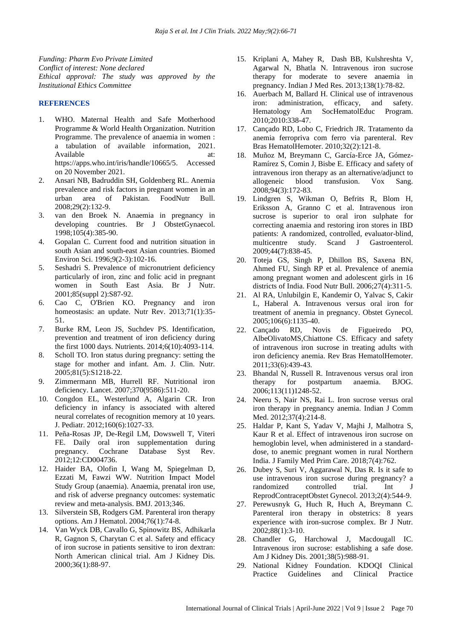*Funding: Pharm Evo Private Limited Conflict of interest: None declared Ethical approval: The study was approved by the Institutional Ethics Committee*

#### **REFERENCES**

- 1. WHO. Maternal Health and Safe Motherhood Programme & World Health Organization. Nutrition Programme. The prevalence of anaemia in women : a tabulation of available information, 2021. Available at: at: https://apps.who.int/iris/handle/10665/5. Accessed on 20 November 2021.
- 2. Ansari NB, Badruddin SH, Goldenberg RL. Anemia prevalence and risk factors in pregnant women in an urban area of Pakistan. FoodNutr Bull. 2008;29(2):132-9.
- 3. van den Broek N. Anaemia in pregnancy in developing countries. Br J ObstetGynaecol. 1998;105(4):385-90.
- 4. Gopalan C. Current food and nutrition situation in south Asian and south-east Asian countries. Biomed Environ Sci. 1996;9(2-3):102-16.
- 5. Seshadri S. Prevalence of micronutrient deficiency particularly of iron, zinc and folic acid in pregnant women in South East Asia. Br J Nutr. 2001;85(suppl 2):S87-92.
- 6. Cao C, O'Brien KO. Pregnancy and iron homeostasis: an update. Nutr Rev. 2013;71(1):35-51.
- 7. Burke RM, Leon JS, Suchdev PS. Identification, prevention and treatment of iron deficiency during the first 1000 days. Nutrients. 2014;6(10):4093-114.
- 8. Scholl TO. Iron status during pregnancy: setting the stage for mother and infant. Am. J. Clin. Nutr. 2005;81(5):S1218-22.
- 9. Zimmermann MB, Hurrell RF. Nutritional iron deficiency. Lancet. 2007;370(9586):511-20.
- 10. Congdon EL, Westerlund A, Algarin CR. Iron deficiency in infancy is associated with altered neural correlates of recognition memory at 10 years. J. Pediatr. 2012;160(6):1027-33.
- 11. Peña-Rosas JP, De-Regil LM, Dowswell T, Viteri FE. Daily oral iron supplementation during pregnancy. Cochrane Database Syst Rev. 2012;12:CD004736.
- 12. Haider BA, Olofin I, Wang M, Spiegelman D, Ezzati M, Fawzi WW. Nutrition Impact Model Study Group (anaemia). Anaemia, prenatal iron use, and risk of adverse pregnancy outcomes: systematic review and meta-analysis. BMJ. 2013;346.
- 13. Silverstein SB, Rodgers GM. Parenteral iron therapy options. Am J Hematol. 2004;76(1):74-8.
- 14. Van Wyck DB, Cavallo G, Spinowitz BS, Adhikarla R, Gagnon S, Charytan C et al. Safety and efficacy of iron sucrose in patients sensitive to iron dextran: North American clinical trial. Am J Kidney Dis. 2000;36(1):88-97.
- 15. Kriplani A, Mahey R, Dash BB, Kulshreshta V, Agarwal N, Bhatla N. Intravenous iron sucrose therapy for moderate to severe anaemia in pregnancy. Indian J Med Res. 2013;138(1):78-82.
- 16. Auerbach M, Ballard H. Clinical use of intravenous iron: administration, efficacy, and safety. iron: administration, efficacy, and safety. Hematology Am SocHematolEduc Program. 2010;2010:338-47.
- 17. Cançado RD, Lobo C, Friedrich JR. Tratamento da anemia ferropriva com ferro via parenteral. Rev Bras HematolHemoter. 2010;32(2):121-8.
- 18. Muñoz M, Breymann C, García-Erce JA, Gómez-Ramírez S, Comin J, Bisbe E. Efficacy and safety of intravenous iron therapy as an alternative/adjunct to allogeneic blood transfusion. Vox Sang. 2008;94(3):172-83.
- 19. Lindgren S, Wikman O, Befrits R, Blom H, Eriksson A, Granno C et al. Intravenous iron sucrose is superior to oral iron sulphate for correcting anaemia and restoring iron stores in IBD patients: A randomized, controlled, evaluator-blind, multicentre study. Scand J Gastroenterol. 2009;44(7):838-45.
- 20. Toteja GS, Singh P, Dhillon BS, Saxena BN, Ahmed FU, Singh RP et al. Prevalence of anemia among pregnant women and adolescent girls in 16 districts of India. Food Nutr Bull. 2006;27(4):311-5.
- 21. Al RA, Unlubilgin E, Kandemir O, Yalvac S, Cakir L, Haberal A. Intravenous versus oral iron for treatment of anemia in pregnancy. Obstet Gynecol. 2005;106(6):1135-40.
- 22. Cançado RD, Novis de Figueiredo PO, AlbeOlivatoMS,Chiattone CS. Efficacy and safety of intravenous iron sucrose in treating adults with iron deficiency anemia. Rev Bras HematolHemoter. 2011;33(6):439-43.
- 23. Bhandal N, Russell R. Intravenous versus oral iron therapy for postpartum anaemia. BJOG. 2006;113(11)1248-52.
- 24. Neeru S, Nair NS, Rai L. Iron sucrose versus oral iron therapy in pregnancy anemia. Indian J Comm Med. 2012;37(4):214-8.
- 25. Haldar P, Kant S, Yadav V, Majhi J, Malhotra S, Kaur R et al. Effect of intravenous iron sucrose on hemoglobin level, when administered in a standarddose, to anemic pregnant women in rural Northern India. J Family Med Prim Care. 2018;7(4):762.
- 26. Dubey S, Suri V, Aggarawal N, Das R. Is it safe to use intravenous iron sucrose during pregnancy? a randomized controlled trial. Int J ReprodContraceptObstet Gynecol. 2013;2(4):544-9.
- 27. Perewusnyk G, Huch R, Huch A, Breymann C. Parenteral iron therapy in obstetrics: 8 years experience with iron-sucrose complex. Br J Nutr. 2002;88(1):3-10.
- 28. Chandler G, Harchowal J, Macdougall IC. Intravenous iron sucrose: establishing a safe dose. Am J Kidney Dis. 2001;38(5):988-91.
- 29. National Kidney Foundation. KDOQI Clinical Practice Guidelines and Clinical Practice